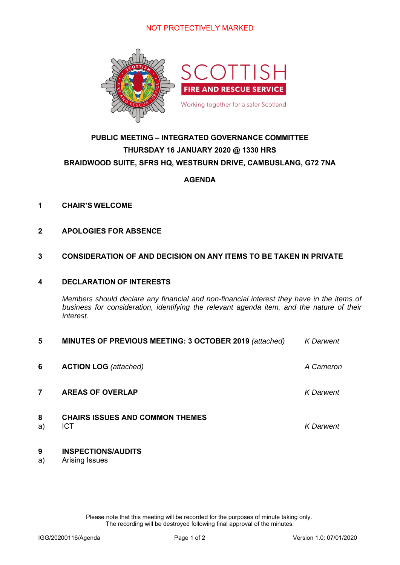

## **PUBLIC MEETING – INTEGRATED GOVERNANCE COMMITTEE THURSDAY 16 JANUARY 2020 @ 1330 HRS BRAIDWOOD SUITE, SFRS HQ, WESTBURN DRIVE, CAMBUSLANG, G72 7NA**

### **AGENDA**

- **1 CHAIR'S WELCOME**
- **2 APOLOGIES FOR ABSENCE**

#### **3 CONSIDERATION OF AND DECISION ON ANY ITEMS TO BE TAKEN IN PRIVATE**

#### **4 DECLARATION OF INTERESTS**

 *Members should declare any financial and non-financial interest they have in the items of business for consideration, identifying the relevant agenda item, and the nature of their interest.* 

| 5       | MINUTES OF PREVIOUS MEETING: 3 OCTOBER 2019 (attached) | <b>K</b> Darwent |
|---------|--------------------------------------------------------|------------------|
| 6       | <b>ACTION LOG</b> (attached)                           | A Cameron        |
|         | <b>AREAS OF OVERLAP</b>                                | K Darwent        |
| 8<br>a) | <b>CHAIRS ISSUES AND COMMON THEMES</b><br><b>ICT</b>   | <b>K</b> Darwent |

### **9 INSPECTIONS/AUDITS**

a) Arising Issues

Please note that this meeting will be recorded for the purposes of minute taking only. The recording will be destroyed following final approval of the minutes.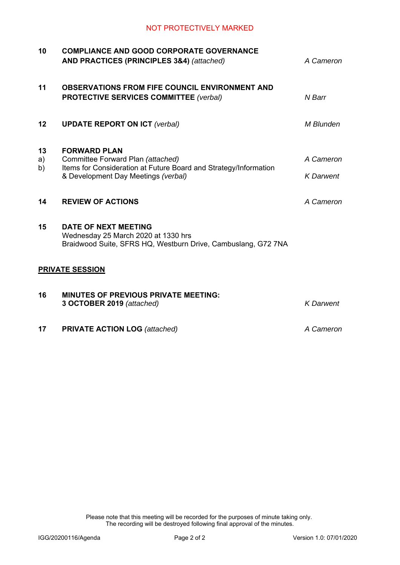| 10             | <b>COMPLIANCE AND GOOD CORPORATE GOVERNANCE</b><br>AND PRACTICES (PRINCIPLES 3&4) (attached)                                                                        | A Cameron                     |
|----------------|---------------------------------------------------------------------------------------------------------------------------------------------------------------------|-------------------------------|
| 11             | <b>OBSERVATIONS FROM FIFE COUNCIL ENVIRONMENT AND</b><br><b>PROTECTIVE SERVICES COMMITTEE (verbal)</b>                                                              | N Barr                        |
| 12             | <b>UPDATE REPORT ON ICT (verbal)</b>                                                                                                                                | M Blunden                     |
| 13<br>a)<br>b) | <b>FORWARD PLAN</b><br>Committee Forward Plan (attached)<br>Items for Consideration at Future Board and Strategy/Information<br>& Development Day Meetings (verbal) | A Cameron<br><b>K</b> Darwent |
| 14             | <b>REVIEW OF ACTIONS</b>                                                                                                                                            | A Cameron                     |
| 15             | <b>DATE OF NEXT MEETING</b><br>Wednesday 25 March 2020 at 1330 hrs<br>Braidwood Suite, SFRS HQ, Westburn Drive, Cambuslang, G72 7NA                                 |                               |
|                | <b>PRIVATE SESSION</b>                                                                                                                                              |                               |
| 16             | <b>MINUTES OF PREVIOUS PRIVATE MEETING:</b><br>3 OCTOBER 2019 (attached)                                                                                            | <b>K</b> Darwent              |
| 17             | <b>PRIVATE ACTION LOG</b> (attached)                                                                                                                                | A Cameron                     |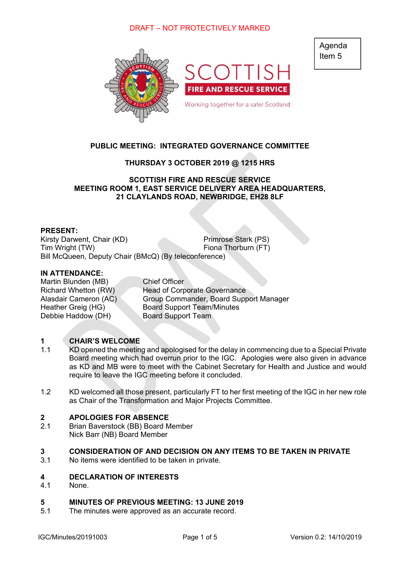### DRAFT – NOT PROTECTIVELY MARKED



### **PUBLIC MEETING: INTEGRATED GOVERNANCE COMMITTEE**

#### **THURSDAY 3 OCTOBER 2019 @ 1215 HRS**

**SCOTTISH FIRE AND RESCUE SERVICE MEETING ROOM 1, EAST SERVICE DELIVERY AREA HEADQUARTERS, 21 CLAYLANDS ROAD, NEWBRIDGE, EH28 8LF** 

#### **PRESENT:**

Kirsty Darwent, Chair (KD) Primrose Stark (PS) Tim Wright (TW) Fiona Thorburn (FT) Bill McQueen, Deputy Chair (BMcQ) (By teleconference)

#### **IN ATTENDANCE:**

Martin Blunden (MB) Chief Officer Debbie Haddow (DH) Board Support Team

Richard Whetton (RW) Head of Corporate Governance Alasdair Cameron (AC) Group Commander, Board Support Manager Heather Greig (HG) Board Support Team/Minutes

#### **1 CHAIR'S WELCOME**

- 1.1 KD opened the meeting and apologised for the delay in commencing due to a Special Private Board meeting which had overrun prior to the IGC. Apologies were also given in advance as KD and MB were to meet with the Cabinet Secretary for Health and Justice and would require to leave the IGC meeting before it concluded.
- 1.2 KD welcomed all those present, particularly FT to her first meeting of the IGC in her new role as Chair of the Transformation and Major Projects Committee.

#### **2 APOLOGIES FOR ABSENCE**

2.1 Brian Baverstock (BB) Board Member Nick Barr (NB) Board Member

#### **3 CONSIDERATION OF AND DECISION ON ANY ITEMS TO BE TAKEN IN PRIVATE**

3.1 No items were identified to be taken in private.

#### **4 DECLARATION OF INTERESTS**

4.1 None.

#### **5 MINUTES OF PREVIOUS MEETING: 13 JUNE 2019**

5.1 The minutes were approved as an accurate record.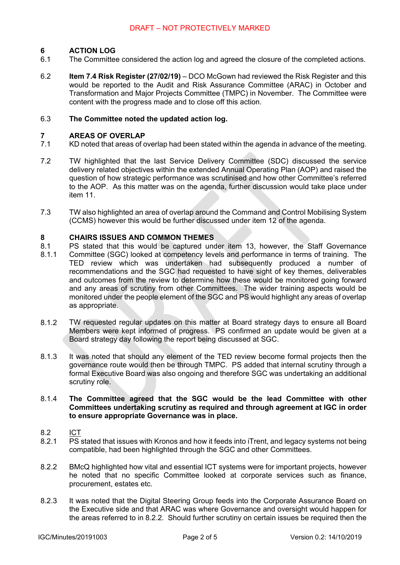#### **6 ACTION LOG**

- 6.1 The Committee considered the action log and agreed the closure of the completed actions.
- 6.2 **Item 7.4 Risk Register (27/02/19)** – DCO McGown had reviewed the Risk Register and this would be reported to the Audit and Risk Assurance Committee (ARAC) in October and Transformation and Major Projects Committee (TMPC) in November. The Committee were content with the progress made and to close off this action.

#### 6.3 **The Committee noted the updated action log.**

#### **7 AREAS OF OVERLAP**

- 7.1 KD noted that areas of overlap had been stated within the agenda in advance of the meeting.
- 7.2 TW highlighted that the last Service Delivery Committee (SDC) discussed the service delivery related objectives within the extended Annual Operating Plan (AOP) and raised the question of how strategic performance was scrutinised and how other Committee's referred to the AOP. As this matter was on the agenda, further discussion would take place under item 11.
- 7.3 TW also highlighted an area of overlap around the Command and Control Mobilising System (CCMS) however this would be further discussed under item 12 of the agenda.

#### **8 CHAIRS ISSUES AND COMMON THEMES**

- 8.1 PS stated that this would be captured under item 13, however, the Staff Governance
- 8.1.1 Committee (SGC) looked at competency levels and performance in terms of training. The TED review which was undertaken had subsequently produced a number of recommendations and the SGC had requested to have sight of key themes, deliverables and outcomes from the review to determine how these would be monitored going forward and any areas of scrutiny from other Committees. The wider training aspects would be monitored under the people element of the SGC and PS would highlight any areas of overlap as appropriate.
- 8.1.2 TW requested regular updates on this matter at Board strategy days to ensure all Board Members were kept informed of progress. PS confirmed an update would be given at a Board strategy day following the report being discussed at SGC.
- 8.1.3 It was noted that should any element of the TED review become formal projects then the governance route would then be through TMPC. PS added that internal scrutiny through a formal Executive Board was also ongoing and therefore SGC was undertaking an additional scrutiny role.

#### 8.1.4 **The Committee agreed that the SGC would be the lead Committee with other Committees undertaking scrutiny as required and through agreement at IGC in order to ensure appropriate Governance was in place.**

- 8.2 ICT
- 8.2.1 PS stated that issues with Kronos and how it feeds into iTrent, and legacy systems not being compatible, had been highlighted through the SGC and other Committees.
- 8.2.2 BMcQ highlighted how vital and essential ICT systems were for important projects, however he noted that no specific Committee looked at corporate services such as finance, procurement, estates etc.
- 8.2.3 It was noted that the Digital Steering Group feeds into the Corporate Assurance Board on the Executive side and that ARAC was where Governance and oversight would happen for the areas referred to in 8.2.2. Should further scrutiny on certain issues be required then the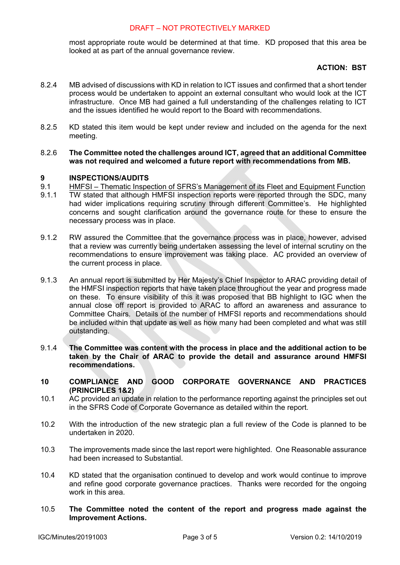#### DRAFT – NOT PROTECTIVELY MARKED

most appropriate route would be determined at that time. KD proposed that this area be looked at as part of the annual governance review.

#### **ACTION: BST**

- 8.2.4 MB advised of discussions with KD in relation to ICT issues and confirmed that a short tender process would be undertaken to appoint an external consultant who would look at the ICT infrastructure. Once MB had gained a full understanding of the challenges relating to ICT and the issues identified he would report to the Board with recommendations.
- 8.2.5 KD stated this item would be kept under review and included on the agenda for the next meeting.
- 8.2.6 **The Committee noted the challenges around ICT, agreed that an additional Committee was not required and welcomed a future report with recommendations from MB.**

#### **9 INSPECTIONS/AUDITS**

9.1 HMFSI – Thematic Inspection of SFRS's Management of its Fleet and Equipment Function

- 9.1.1 TW stated that although HMFSI inspection reports were reported through the SDC, many had wider implications requiring scrutiny through different Committee's. He highlighted concerns and sought clarification around the governance route for these to ensure the necessary process was in place.
- 9.1.2 RW assured the Committee that the governance process was in place, however, advised that a review was currently being undertaken assessing the level of internal scrutiny on the recommendations to ensure improvement was taking place. AC provided an overview of the current process in place.
- 9.1.3 An annual report is submitted by Her Majesty's Chief Inspector to ARAC providing detail of the HMFSI inspection reports that have taken place throughout the year and progress made on these. To ensure visibility of this it was proposed that BB highlight to IGC when the annual close off report is provided to ARAC to afford an awareness and assurance to Committee Chairs. Details of the number of HMFSI reports and recommendations should be included within that update as well as how many had been completed and what was still outstanding.
- 9.1.4 **The Committee was content with the process in place and the additional action to be taken by the Chair of ARAC to provide the detail and assurance around HMFSI recommendations.**
- **10 COMPLIANCE AND GOOD CORPORATE GOVERNANCE AND PRACTICES (PRINCIPLES 1&2)**
- 10.1 AC provided an update in relation to the performance reporting against the principles set out in the SFRS Code of Corporate Governance as detailed within the report.
- 10.2 With the introduction of the new strategic plan a full review of the Code is planned to be undertaken in 2020.
- 10.3 The improvements made since the last report were highlighted. One Reasonable assurance had been increased to Substantial.
- 10.4 KD stated that the organisation continued to develop and work would continue to improve and refine good corporate governance practices. Thanks were recorded for the ongoing work in this area.
- 10.5 **The Committee noted the content of the report and progress made against the Improvement Actions.**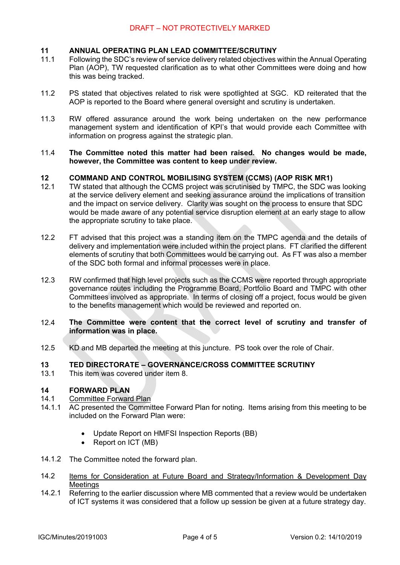#### **11 ANNUAL OPERATING PLAN LEAD COMMITTEE/SCRUTINY**

- 11.1 Following the SDC's review of service delivery related objectives within the Annual Operating Plan (AOP), TW requested clarification as to what other Committees were doing and how this was being tracked.
- 11.2 PS stated that objectives related to risk were spotlighted at SGC. KD reiterated that the AOP is reported to the Board where general oversight and scrutiny is undertaken.
- 11.3 RW offered assurance around the work being undertaken on the new performance management system and identification of KPI's that would provide each Committee with information on progress against the strategic plan.
- 11.4 **The Committee noted this matter had been raised. No changes would be made, however, the Committee was content to keep under review.**

#### **12 COMMAND AND CONTROL MOBILISING SYSTEM (CCMS) (AOP RISK MR1)**

- 12.1 TW stated that although the CCMS project was scrutinised by TMPC, the SDC was looking at the service delivery element and seeking assurance around the implications of transition and the impact on service delivery. Clarity was sought on the process to ensure that SDC would be made aware of any potential service disruption element at an early stage to allow the appropriate scrutiny to take place.
- 12.2 FT advised that this project was a standing item on the TMPC agenda and the details of delivery and implementation were included within the project plans. FT clarified the different elements of scrutiny that both Committees would be carrying out. As FT was also a member of the SDC both formal and informal processes were in place.
- 12.3 RW confirmed that high level projects such as the CCMS were reported through appropriate governance routes including the Programme Board, Portfolio Board and TMPC with other Committees involved as appropriate. In terms of closing off a project, focus would be given to the benefits management which would be reviewed and reported on.
- 12.4 **The Committee were content that the correct level of scrutiny and transfer of information was in place.**
- 12.5 KD and MB departed the meeting at this juncture. PS took over the role of Chair.

#### **13 TED DIRECTORATE – GOVERNANCE/CROSS COMMITTEE SCRUTINY**

13.1 This item was covered under item 8.

#### **14 FORWARD PLAN**

#### 14.1 Committee Forward Plan

- 14.1.1 AC presented the Committee Forward Plan for noting. Items arising from this meeting to be included on the Forward Plan were:
	- Update Report on HMFSI Inspection Reports (BB)
	- Report on ICT (MB)
- 14.1.2 The Committee noted the forward plan.
- 14.2 Items for Consideration at Future Board and Strategy/Information & Development Day Meetings
- 14.2.1 Referring to the earlier discussion where MB commented that a review would be undertaken of ICT systems it was considered that a follow up session be given at a future strategy day.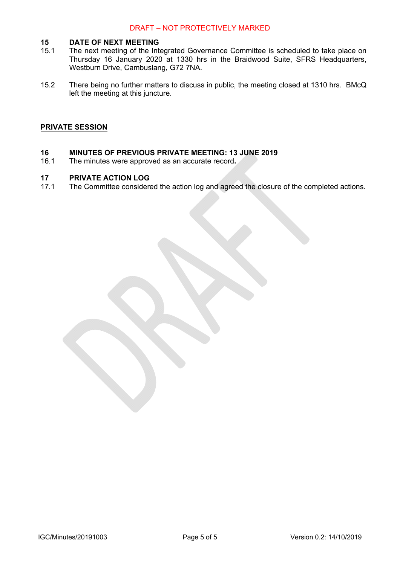#### **15 DATE OF NEXT MEETING**

- 15.1 The next meeting of the Integrated Governance Committee is scheduled to take place on Thursday 16 January 2020 at 1330 hrs in the Braidwood Suite, SFRS Headquarters, Westburn Drive, Cambuslang, G72 7NA.
- 15.2 There being no further matters to discuss in public, the meeting closed at 1310 hrs. BMcQ left the meeting at this juncture.

#### **PRIVATE SESSION**

#### **16 MINUTES OF PREVIOUS PRIVATE MEETING: 13 JUNE 2019**

16.1 The minutes were approved as an accurate record**.** 

#### **17 PRIVATE ACTION LOG**

17.1 The Committee considered the action log and agreed the closure of the completed actions.

IGC/Minutes/20191003 Page 5 of 5 Version 0.2: 14/10/2019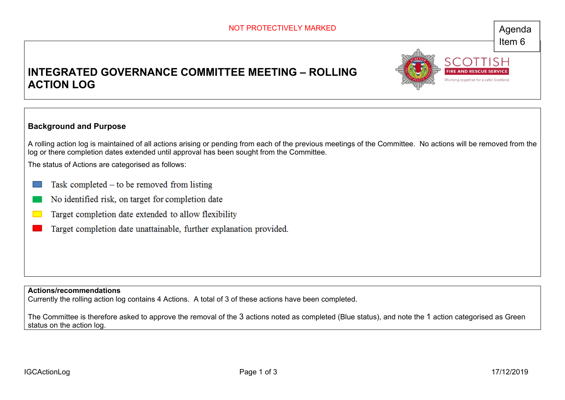Working together for a safer Sci

# **INTEGRATED GOVERNANCE COMMITTEE MEETING – ROLLING ACTION LOG**



A rolling action log is maintained of all actions arising or pending from each of the previous meetings of the Committee. No actions will be removed from the log or there completion dates extended until approval has been sought from the Committee.

The status of Actions are categorised as follows:

- Task completed  $-$  to be removed from listing
- No identified risk, on target for completion date
- Target completion date extended to allow flexibility
- Target completion date unattainable, further explanation provided.

**Actions/recommendations** 

Currently the rolling action log contains 4 Actions. A total of 3 of these actions have been completed.

The Committee is therefore asked to approve the removal of the 3 actions noted as completed (Blue status), and note the 1 action categorised as Green status on the action log.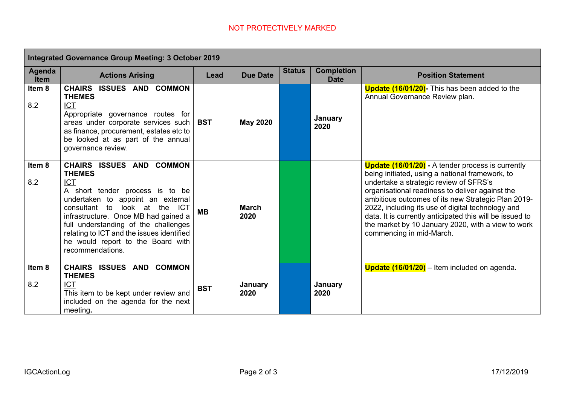|                       | Integrated Governance Group Meeting: 3 October 2019                                                                                                                                                                                                                                                                                                    |            |                      |               |                                  |                                                                                                                                                                                                                                                                                                                                                                                                                                                                   |  |  |
|-----------------------|--------------------------------------------------------------------------------------------------------------------------------------------------------------------------------------------------------------------------------------------------------------------------------------------------------------------------------------------------------|------------|----------------------|---------------|----------------------------------|-------------------------------------------------------------------------------------------------------------------------------------------------------------------------------------------------------------------------------------------------------------------------------------------------------------------------------------------------------------------------------------------------------------------------------------------------------------------|--|--|
| Agenda<br><b>Item</b> | <b>Actions Arising</b>                                                                                                                                                                                                                                                                                                                                 | Lead       | <b>Due Date</b>      | <b>Status</b> | <b>Completion</b><br><b>Date</b> | <b>Position Statement</b>                                                                                                                                                                                                                                                                                                                                                                                                                                         |  |  |
| Item 8<br>8.2         | CHAIRS ISSUES AND COMMON<br><b>THEMES</b><br><b>ICT</b><br>Appropriate governance routes for<br>areas under corporate services such<br>as finance, procurement, estates etc to<br>be looked at as part of the annual<br>governance review.                                                                                                             | <b>BST</b> | <b>May 2020</b>      |               | January<br>2020                  | <b>Update (16/01/20)</b> - This has been added to the<br>Annual Governance Review plan.                                                                                                                                                                                                                                                                                                                                                                           |  |  |
| Item 8<br>8.2         | CHAIRS ISSUES AND COMMON<br><b>THEMES</b><br><b>ICT</b><br>A short tender process is to be<br>undertaken to appoint an external<br>consultant to look at the ICT<br>infrastructure. Once MB had gained a<br>full understanding of the challenges<br>relating to ICT and the issues identified<br>he would report to the Board with<br>recommendations. | <b>MB</b>  | <b>March</b><br>2020 |               |                                  | <b>Update (16/01/20)</b> - A tender process is currently<br>being initiated, using a national framework, to<br>undertake a strategic review of SFRS's<br>organisational readiness to deliver against the<br>ambitious outcomes of its new Strategic Plan 2019-<br>2022, including its use of digital technology and<br>data. It is currently anticipated this will be issued to<br>the market by 10 January 2020, with a view to work<br>commencing in mid-March. |  |  |
| Item 8<br>8.2         | CHAIRS ISSUES AND COMMON<br><b>THEMES</b><br><b>ICT</b><br>This item to be kept under review and<br>included on the agenda for the next<br>meeting.                                                                                                                                                                                                    | <b>BST</b> | January<br>2020      |               | January<br>2020                  | Update (16/01/20) - Item included on agenda.                                                                                                                                                                                                                                                                                                                                                                                                                      |  |  |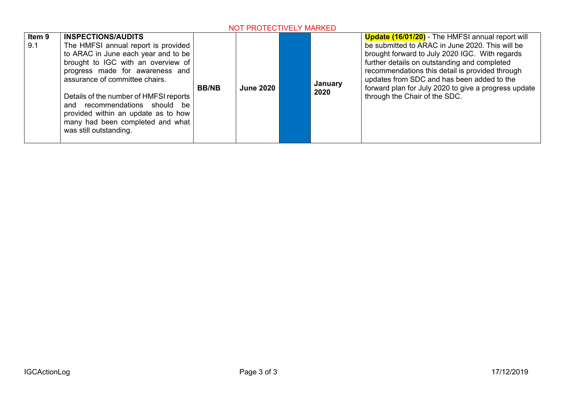| Item 9<br>9.1 | <b>INSPECTIONS/AUDITS</b><br>The HMFSI annual report is provided<br>to ARAC in June each year and to be<br>brought to IGC with an overview of<br>progress made for awareness and<br>assurance of committee chairs.<br>Details of the number of HMFSI reports<br>and recommendations should be<br>provided within an update as to how<br>many had been completed and what<br>was still outstanding. | <b>BB/NB</b> | <b>June 2020</b> |  | January<br>2020 | <b>Update (16/01/20)</b> - The HMFSI annual report will<br>be submitted to ARAC in June 2020. This will be<br>brought forward to July 2020 IGC. With regards<br>further details on outstanding and completed<br>recommendations this detail is provided through<br>updates from SDC and has been added to the<br>forward plan for July 2020 to give a progress update<br>through the Chair of the SDC. |
|---------------|----------------------------------------------------------------------------------------------------------------------------------------------------------------------------------------------------------------------------------------------------------------------------------------------------------------------------------------------------------------------------------------------------|--------------|------------------|--|-----------------|--------------------------------------------------------------------------------------------------------------------------------------------------------------------------------------------------------------------------------------------------------------------------------------------------------------------------------------------------------------------------------------------------------|
|---------------|----------------------------------------------------------------------------------------------------------------------------------------------------------------------------------------------------------------------------------------------------------------------------------------------------------------------------------------------------------------------------------------------------|--------------|------------------|--|-----------------|--------------------------------------------------------------------------------------------------------------------------------------------------------------------------------------------------------------------------------------------------------------------------------------------------------------------------------------------------------------------------------------------------------|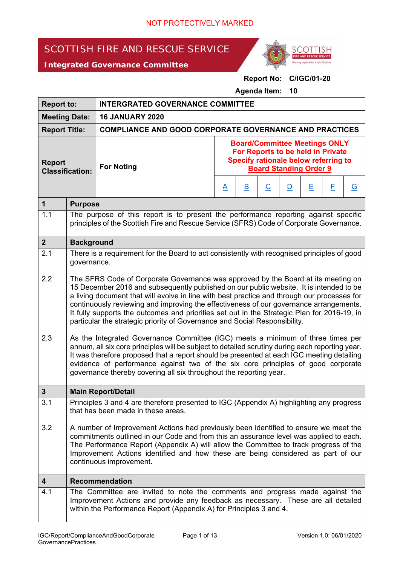# SCOTTISH FIRE AND RESCUE SERVICE

*Integrated Governance Committee*



**Report No: C/IGC/01-20** 

**Agenda Item: 10** 

| <b>Report to:</b>                       |                                                                                                                                                                                                                                                                                                                                                                                                                                                                                                                                                                                                                                                                                                                                                                                                                                                                                                                                                                                                 | <b>INTERGRATED GOVERNANCE COMMITTEE</b>                                                                                                                                                                                                 |                                                                                                                                                    |                         |                          |   |   |   |          |
|-----------------------------------------|-------------------------------------------------------------------------------------------------------------------------------------------------------------------------------------------------------------------------------------------------------------------------------------------------------------------------------------------------------------------------------------------------------------------------------------------------------------------------------------------------------------------------------------------------------------------------------------------------------------------------------------------------------------------------------------------------------------------------------------------------------------------------------------------------------------------------------------------------------------------------------------------------------------------------------------------------------------------------------------------------|-----------------------------------------------------------------------------------------------------------------------------------------------------------------------------------------------------------------------------------------|----------------------------------------------------------------------------------------------------------------------------------------------------|-------------------------|--------------------------|---|---|---|----------|
| <b>Meeting Date:</b>                    |                                                                                                                                                                                                                                                                                                                                                                                                                                                                                                                                                                                                                                                                                                                                                                                                                                                                                                                                                                                                 | <b>16 JANUARY 2020</b>                                                                                                                                                                                                                  |                                                                                                                                                    |                         |                          |   |   |   |          |
| <b>Report Title:</b>                    |                                                                                                                                                                                                                                                                                                                                                                                                                                                                                                                                                                                                                                                                                                                                                                                                                                                                                                                                                                                                 | <b>COMPLIANCE AND GOOD CORPORATE GOVERNANCE AND PRACTICES</b>                                                                                                                                                                           |                                                                                                                                                    |                         |                          |   |   |   |          |
| <b>Report</b><br><b>Classification:</b> |                                                                                                                                                                                                                                                                                                                                                                                                                                                                                                                                                                                                                                                                                                                                                                                                                                                                                                                                                                                                 | <b>For Noting</b>                                                                                                                                                                                                                       | <b>Board/Committee Meetings ONLY</b><br>For Reports to be held in Private<br>Specify rationale below referring to<br><b>Board Standing Order 9</b> |                         |                          |   |   |   |          |
|                                         |                                                                                                                                                                                                                                                                                                                                                                                                                                                                                                                                                                                                                                                                                                                                                                                                                                                                                                                                                                                                 |                                                                                                                                                                                                                                         | $\underline{A}$                                                                                                                                    | $\overline{\mathbf{B}}$ | $\underline{\mathsf{C}}$ | D | Е | E | <u>G</u> |
| $\mathbf{1}$                            | <b>Purpose</b>                                                                                                                                                                                                                                                                                                                                                                                                                                                                                                                                                                                                                                                                                                                                                                                                                                                                                                                                                                                  |                                                                                                                                                                                                                                         |                                                                                                                                                    |                         |                          |   |   |   |          |
| 1.1                                     |                                                                                                                                                                                                                                                                                                                                                                                                                                                                                                                                                                                                                                                                                                                                                                                                                                                                                                                                                                                                 | The purpose of this report is to present the performance reporting against specific<br>principles of the Scottish Fire and Rescue Service (SFRS) Code of Corporate Governance.                                                          |                                                                                                                                                    |                         |                          |   |   |   |          |
| $\boldsymbol{2}$                        | <b>Background</b>                                                                                                                                                                                                                                                                                                                                                                                                                                                                                                                                                                                                                                                                                                                                                                                                                                                                                                                                                                               |                                                                                                                                                                                                                                         |                                                                                                                                                    |                         |                          |   |   |   |          |
| 2.1                                     | There is a requirement for the Board to act consistently with recognised principles of good<br>governance.                                                                                                                                                                                                                                                                                                                                                                                                                                                                                                                                                                                                                                                                                                                                                                                                                                                                                      |                                                                                                                                                                                                                                         |                                                                                                                                                    |                         |                          |   |   |   |          |
| 2.2<br>2.3                              | The SFRS Code of Corporate Governance was approved by the Board at its meeting on<br>15 December 2016 and subsequently published on our public website. It is intended to be<br>a living document that will evolve in line with best practice and through our processes for<br>continuously reviewing and improving the effectiveness of our governance arrangements.<br>It fully supports the outcomes and priorities set out in the Strategic Plan for 2016-19, in<br>particular the strategic priority of Governance and Social Responsibility.<br>As the Integrated Governance Committee (IGC) meets a minimum of three times per<br>annum, all six core principles will be subject to detailed scrutiny during each reporting year.<br>It was therefore proposed that a report should be presented at each IGC meeting detailing<br>evidence of performance against two of the six core principles of good corporate<br>governance thereby covering all six throughout the reporting year. |                                                                                                                                                                                                                                         |                                                                                                                                                    |                         |                          |   |   |   |          |
| 3                                       |                                                                                                                                                                                                                                                                                                                                                                                                                                                                                                                                                                                                                                                                                                                                                                                                                                                                                                                                                                                                 | <b>Main Report/Detail</b>                                                                                                                                                                                                               |                                                                                                                                                    |                         |                          |   |   |   |          |
| 3.1                                     |                                                                                                                                                                                                                                                                                                                                                                                                                                                                                                                                                                                                                                                                                                                                                                                                                                                                                                                                                                                                 | Principles 3 and 4 are therefore presented to IGC (Appendix A) highlighting any progress<br>that has been made in these areas.                                                                                                          |                                                                                                                                                    |                         |                          |   |   |   |          |
| 3.2                                     | A number of Improvement Actions had previously been identified to ensure we meet the<br>commitments outlined in our Code and from this an assurance level was applied to each.<br>The Performance Report (Appendix A) will allow the Committee to track progress of the<br>Improvement Actions identified and how these are being considered as part of our<br>continuous improvement.                                                                                                                                                                                                                                                                                                                                                                                                                                                                                                                                                                                                          |                                                                                                                                                                                                                                         |                                                                                                                                                    |                         |                          |   |   |   |          |
| 4                                       |                                                                                                                                                                                                                                                                                                                                                                                                                                                                                                                                                                                                                                                                                                                                                                                                                                                                                                                                                                                                 | <b>Recommendation</b>                                                                                                                                                                                                                   |                                                                                                                                                    |                         |                          |   |   |   |          |
| 4.1                                     |                                                                                                                                                                                                                                                                                                                                                                                                                                                                                                                                                                                                                                                                                                                                                                                                                                                                                                                                                                                                 | The Committee are invited to note the comments and progress made against the<br>Improvement Actions and provide any feedback as necessary. These are all detailed<br>within the Performance Report (Appendix A) for Principles 3 and 4. |                                                                                                                                                    |                         |                          |   |   |   |          |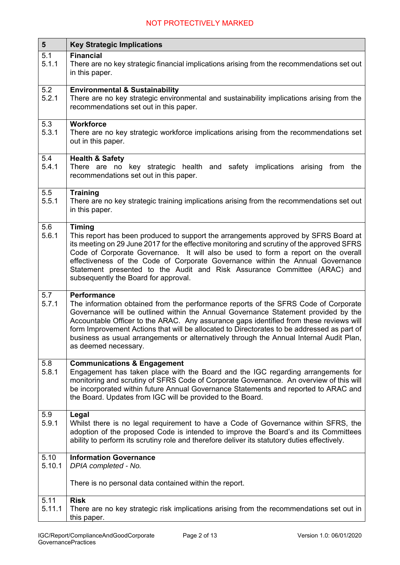| $5\phantom{1}$ | <b>Key Strategic Implications</b>                                                                                                                                                                                                                                                                                                                                                                                                                                                                          |
|----------------|------------------------------------------------------------------------------------------------------------------------------------------------------------------------------------------------------------------------------------------------------------------------------------------------------------------------------------------------------------------------------------------------------------------------------------------------------------------------------------------------------------|
| 5.1<br>5.1.1   | <b>Financial</b><br>There are no key strategic financial implications arising from the recommendations set out<br>in this paper.                                                                                                                                                                                                                                                                                                                                                                           |
| 5.2<br>5.2.1   | <b>Environmental &amp; Sustainability</b><br>There are no key strategic environmental and sustainability implications arising from the<br>recommendations set out in this paper.                                                                                                                                                                                                                                                                                                                           |
| 5.3<br>5.3.1   | <b>Workforce</b><br>There are no key strategic workforce implications arising from the recommendations set<br>out in this paper.                                                                                                                                                                                                                                                                                                                                                                           |
| 5.4<br>5.4.1   | <b>Health &amp; Safety</b><br>There are no<br>key strategic health and safety<br>implications arising<br>from the<br>recommendations set out in this paper.                                                                                                                                                                                                                                                                                                                                                |
| 5.5<br>5.5.1   | <b>Training</b><br>There are no key strategic training implications arising from the recommendations set out<br>in this paper.                                                                                                                                                                                                                                                                                                                                                                             |
| 5.6<br>5.6.1   | <b>Timing</b><br>This report has been produced to support the arrangements approved by SFRS Board at<br>its meeting on 29 June 2017 for the effective monitoring and scrutiny of the approved SFRS<br>Code of Corporate Governance. It will also be used to form a report on the overall<br>effectiveness of the Code of Corporate Governance within the Annual Governance<br>Statement presented to the Audit and Risk Assurance Committee (ARAC) and<br>subsequently the Board for approval.             |
| 5.7<br>5.7.1   | <b>Performance</b><br>The information obtained from the performance reports of the SFRS Code of Corporate<br>Governance will be outlined within the Annual Governance Statement provided by the<br>Accountable Officer to the ARAC. Any assurance gaps identified from these reviews will<br>form Improvement Actions that will be allocated to Directorates to be addressed as part of<br>business as usual arrangements or alternatively through the Annual Internal Audit Plan,<br>as deemed necessary. |
| 5.8<br>5.8.1   | <b>Communications &amp; Engagement</b><br>Engagement has taken place with the Board and the IGC regarding arrangements for<br>monitoring and scrutiny of SFRS Code of Corporate Governance. An overview of this will<br>be incorporated within future Annual Governance Statements and reported to ARAC and<br>the Board. Updates from IGC will be provided to the Board.                                                                                                                                  |
| 5.9<br>5.9.1   | Legal<br>Whilst there is no legal requirement to have a Code of Governance within SFRS, the<br>adoption of the proposed Code is intended to improve the Board's and its Committees<br>ability to perform its scrutiny role and therefore deliver its statutory duties effectively.                                                                                                                                                                                                                         |
| 5.10           | <b>Information Governance</b>                                                                                                                                                                                                                                                                                                                                                                                                                                                                              |
| 5.10.1         | DPIA completed - No.<br>There is no personal data contained within the report.                                                                                                                                                                                                                                                                                                                                                                                                                             |
| 5.11<br>5.11.1 | <b>Risk</b><br>There are no key strategic risk implications arising from the recommendations set out in                                                                                                                                                                                                                                                                                                                                                                                                    |
|                | this paper.                                                                                                                                                                                                                                                                                                                                                                                                                                                                                                |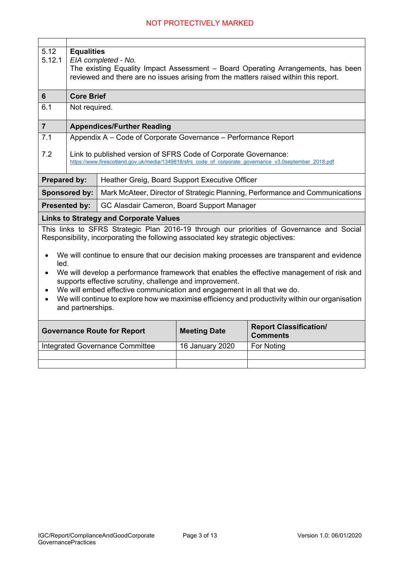| 5.12<br>5.12.1                                                                                                                                                                                                                                                                                                                                                                                                                                                                                                                                                                                                                                              | <b>Equalities</b><br>EIA completed - No.<br>The existing Equality Impact Assessment – Board Operating Arrangements, has been<br>reviewed and there are no issues arising from the matters raised within this report. |                                                                |                 |                                                                              |  |  |  |  |
|-------------------------------------------------------------------------------------------------------------------------------------------------------------------------------------------------------------------------------------------------------------------------------------------------------------------------------------------------------------------------------------------------------------------------------------------------------------------------------------------------------------------------------------------------------------------------------------------------------------------------------------------------------------|----------------------------------------------------------------------------------------------------------------------------------------------------------------------------------------------------------------------|----------------------------------------------------------------|-----------------|------------------------------------------------------------------------------|--|--|--|--|
| 6                                                                                                                                                                                                                                                                                                                                                                                                                                                                                                                                                                                                                                                           | <b>Core Brief</b>                                                                                                                                                                                                    |                                                                |                 |                                                                              |  |  |  |  |
| 6.1                                                                                                                                                                                                                                                                                                                                                                                                                                                                                                                                                                                                                                                         | Not required.                                                                                                                                                                                                        |                                                                |                 |                                                                              |  |  |  |  |
| $\overline{7}$                                                                                                                                                                                                                                                                                                                                                                                                                                                                                                                                                                                                                                              |                                                                                                                                                                                                                      | <b>Appendices/Further Reading</b>                              |                 |                                                                              |  |  |  |  |
| 7.1                                                                                                                                                                                                                                                                                                                                                                                                                                                                                                                                                                                                                                                         |                                                                                                                                                                                                                      | Appendix A - Code of Corporate Governance - Performance Report |                 |                                                                              |  |  |  |  |
| 7.2                                                                                                                                                                                                                                                                                                                                                                                                                                                                                                                                                                                                                                                         | Link to published version of SFRS Code of Corporate Governance:<br>https://www.firescotland.gov.uk/media/1349818/sfrs code of corporate governance v3.0september 2018.pdf                                            |                                                                |                 |                                                                              |  |  |  |  |
| <b>Prepared by:</b>                                                                                                                                                                                                                                                                                                                                                                                                                                                                                                                                                                                                                                         |                                                                                                                                                                                                                      | Heather Greig, Board Support Executive Officer                 |                 |                                                                              |  |  |  |  |
|                                                                                                                                                                                                                                                                                                                                                                                                                                                                                                                                                                                                                                                             | <b>Sponsored by:</b>                                                                                                                                                                                                 |                                                                |                 | Mark McAteer, Director of Strategic Planning, Performance and Communications |  |  |  |  |
|                                                                                                                                                                                                                                                                                                                                                                                                                                                                                                                                                                                                                                                             | <b>Presented by:</b>                                                                                                                                                                                                 | GC Alasdair Cameron, Board Support Manager                     |                 |                                                                              |  |  |  |  |
|                                                                                                                                                                                                                                                                                                                                                                                                                                                                                                                                                                                                                                                             |                                                                                                                                                                                                                      | <b>Links to Strategy and Corporate Values</b>                  |                 |                                                                              |  |  |  |  |
| This links to SFRS Strategic Plan 2016-19 through our priorities of Governance and Social<br>Responsibility, incorporating the following associated key strategic objectives:<br>We will continue to ensure that our decision making processes are transparent and evidence<br>$\bullet$<br>led.<br>We will develop a performance framework that enables the effective management of risk and<br>supports effective scrutiny, challenge and improvement.<br>We will embed effective communication and engagement in all that we do.<br>We will continue to explore how we maximise efficiency and productivity within our organisation<br>and partnerships. |                                                                                                                                                                                                                      |                                                                |                 |                                                                              |  |  |  |  |
| <b>Report Classification/</b><br><b>Meeting Date</b><br><b>Governance Route for Report</b><br><b>Comments</b>                                                                                                                                                                                                                                                                                                                                                                                                                                                                                                                                               |                                                                                                                                                                                                                      |                                                                |                 |                                                                              |  |  |  |  |
|                                                                                                                                                                                                                                                                                                                                                                                                                                                                                                                                                                                                                                                             |                                                                                                                                                                                                                      | Integrated Governance Committee                                | 16 January 2020 | For Noting                                                                   |  |  |  |  |
|                                                                                                                                                                                                                                                                                                                                                                                                                                                                                                                                                                                                                                                             |                                                                                                                                                                                                                      |                                                                |                 |                                                                              |  |  |  |  |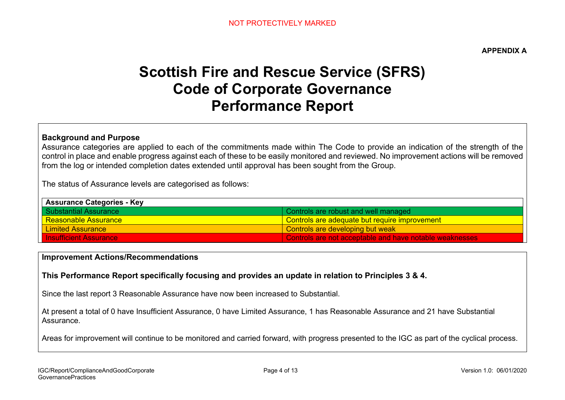**APPENDIX A** 

# **Scottish Fire and Rescue Service (SFRS) Code of Corporate Governance Performance Report**

### **Background and Purpose**

Assurance categories are applied to each of the commitments made within The Code to provide an indication of the strength of the control in place and enable progress against each of these to be easily monitored and reviewed. No improvement actions will be removed from the log or intended completion dates extended until approval has been sought from the Group.

The status of Assurance levels are categorised as follows:

| <b>Assurance Categories - Key</b> |                                                         |  |  |  |
|-----------------------------------|---------------------------------------------------------|--|--|--|
| I Substantial Assurance           | Controls are robust and well managed                    |  |  |  |
| <u>l Reasonable Assurance </u>    | Controls are adequate but require improvement           |  |  |  |
| Limited Assurance                 | Controls are developing but weak                        |  |  |  |
| <b>Insufficient Assurance</b>     | Controls are not acceptable and have notable weaknesses |  |  |  |

#### **Improvement Actions/Recommendations**

### **This Performance Report specifically focusing and provides an update in relation to Principles 3 & 4.**

Since the last report 3 Reasonable Assurance have now been increased to Substantial.

At present a total of 0 have Insufficient Assurance, 0 have Limited Assurance, 1 has Reasonable Assurance and 21 have Substantial Assurance.

Areas for improvement will continue to be monitored and carried forward, with progress presented to the IGC as part of the cyclical process.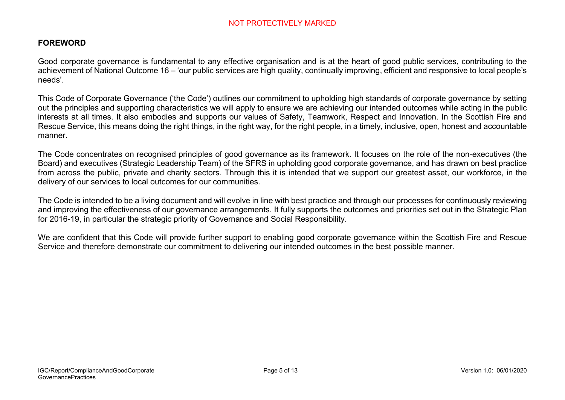### **FOREWORD**

Good corporate governance is fundamental to any effective organisation and is at the heart of good public services, contributing to the achievement of National Outcome 16 – 'our public services are high quality, continually improving, efficient and responsive to local people's needs'.

This Code of Corporate Governance ('the Code') outlines our commitment to upholding high standards of corporate governance by setting out the principles and supporting characteristics we will apply to ensure we are achieving our intended outcomes while acting in the public interests at all times. It also embodies and supports our values of Safety, Teamwork, Respect and Innovation. In the Scottish Fire and Rescue Service, this means doing the right things, in the right way, for the right people, in a timely, inclusive, open, honest and accountable manner.

The Code concentrates on recognised principles of good governance as its framework. It focuses on the role of the non-executives (the Board) and executives (Strategic Leadership Team) of the SFRS in upholding good corporate governance, and has drawn on best practice from across the public, private and charity sectors. Through this it is intended that we support our greatest asset, our workforce, in the delivery of our services to local outcomes for our communities.

The Code is intended to be a living document and will evolve in line with best practice and through our processes for continuously reviewing and improving the effectiveness of our governance arrangements. It fully supports the outcomes and priorities set out in the Strategic Plan for 2016-19, in particular the strategic priority of Governance and Social Responsibility.

We are confident that this Code will provide further support to enabling good corporate governance within the Scottish Fire and Rescue Service and therefore demonstrate our commitment to delivering our intended outcomes in the best possible manner.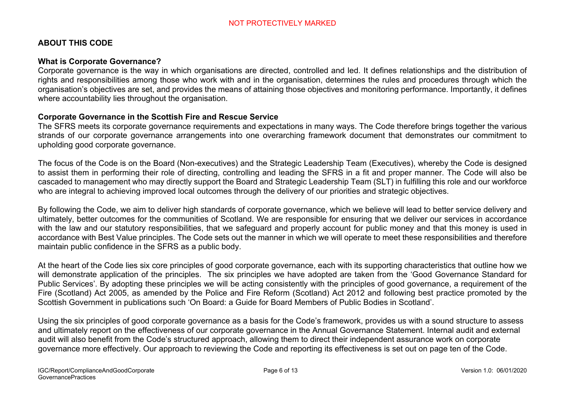### **ABOUT THIS CODE**

### **What is Corporate Governance?**

Corporate governance is the way in which organisations are directed, controlled and led. It defines relationships and the distribution of rights and responsibilities among those who work with and in the organisation, determines the rules and procedures through which the organisation's objectives are set, and provides the means of attaining those objectives and monitoring performance. Importantly, it defines where accountability lies throughout the organisation.

#### **Corporate Governance in the Scottish Fire and Rescue Service**

The SFRS meets its corporate governance requirements and expectations in many ways. The Code therefore brings together the various strands of our corporate governance arrangements into one overarching framework document that demonstrates our commitment to upholding good corporate governance.

The focus of the Code is on the Board (Non-executives) and the Strategic Leadership Team (Executives), whereby the Code is designed to assist them in performing their role of directing, controlling and leading the SFRS in a fit and proper manner. The Code will also be cascaded to management who may directly support the Board and Strategic Leadership Team (SLT) in fulfilling this role and our workforce who are integral to achieving improved local outcomes through the delivery of our priorities and strategic objectives.

By following the Code, we aim to deliver high standards of corporate governance, which we believe will lead to better service delivery and ultimately, better outcomes for the communities of Scotland. We are responsible for ensuring that we deliver our services in accordance with the law and our statutory responsibilities, that we safeguard and properly account for public money and that this money is used in accordance with Best Value principles. The Code sets out the manner in which we will operate to meet these responsibilities and therefore maintain public confidence in the SFRS as a public body.

At the heart of the Code lies six core principles of good corporate governance, each with its supporting characteristics that outline how we will demonstrate application of the principles. The six principles we have adopted are taken from the 'Good Governance Standard for Public Services'. By adopting these principles we will be acting consistently with the principles of good governance, a requirement of the Fire (Scotland) Act 2005, as amended by the Police and Fire Reform (Scotland) Act 2012 and following best practice promoted by the Scottish Government in publications such 'On Board: a Guide for Board Members of Public Bodies in Scotland'.

Using the six principles of good corporate governance as a basis for the Code's framework, provides us with a sound structure to assess and ultimately report on the effectiveness of our corporate governance in the Annual Governance Statement. Internal audit and external audit will also benefit from the Code's structured approach, allowing them to direct their independent assurance work on corporate governance more effectively. Our approach to reviewing the Code and reporting its effectiveness is set out on page ten of the Code.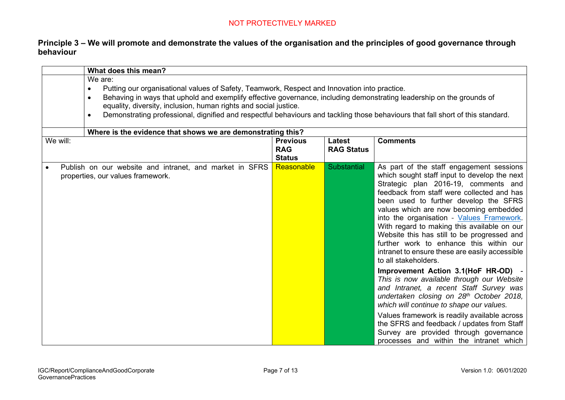### **Principle 3 – We will promote and demonstrate the values of the organisation and the principles of good governance through behaviour**

|          | What does this mean?                                                                                                                                                                                                                                                                                                                                                                                                                                                           |                                                |                                    |                                                                                                                                                                                                                                                                                                                                                                                                                                                                                                                                                                                                                                                                                                                                                          |
|----------|--------------------------------------------------------------------------------------------------------------------------------------------------------------------------------------------------------------------------------------------------------------------------------------------------------------------------------------------------------------------------------------------------------------------------------------------------------------------------------|------------------------------------------------|------------------------------------|----------------------------------------------------------------------------------------------------------------------------------------------------------------------------------------------------------------------------------------------------------------------------------------------------------------------------------------------------------------------------------------------------------------------------------------------------------------------------------------------------------------------------------------------------------------------------------------------------------------------------------------------------------------------------------------------------------------------------------------------------------|
|          | We are:<br>Putting our organisational values of Safety, Teamwork, Respect and Innovation into practice.<br>$\bullet$<br>Behaving in ways that uphold and exemplify effective governance, including demonstrating leadership on the grounds of<br>$\bullet$<br>equality, diversity, inclusion, human rights and social justice.<br>Demonstrating professional, dignified and respectful behaviours and tackling those behaviours that fall short of this standard.<br>$\bullet$ |                                                |                                    |                                                                                                                                                                                                                                                                                                                                                                                                                                                                                                                                                                                                                                                                                                                                                          |
| We will: | Where is the evidence that shows we are demonstrating this?                                                                                                                                                                                                                                                                                                                                                                                                                    | <b>Previous</b><br><b>RAG</b><br><b>Status</b> | <b>Latest</b><br><b>RAG Status</b> | <b>Comments</b>                                                                                                                                                                                                                                                                                                                                                                                                                                                                                                                                                                                                                                                                                                                                          |
|          | Publish on our website and intranet, and market in SFRS<br>properties, our values framework.                                                                                                                                                                                                                                                                                                                                                                                   | Reasonable                                     | Substantial                        | As part of the staff engagement sessions<br>which sought staff input to develop the next<br>Strategic plan 2016-19, comments and<br>feedback from staff were collected and has<br>been used to further develop the SFRS<br>values which are now becoming embedded<br>into the organisation - Values Framework.<br>With regard to making this available on our<br>Website this has still to be progressed and<br>further work to enhance this within our<br>intranet to ensure these are easily accessible<br>to all stakeholders.<br>Improvement Action 3.1(HoF HR-OD) -<br>This is now available through our Website<br>and Intranet, a recent Staff Survey was<br>undertaken closing on 28th October 2018,<br>which will continue to shape our values. |
|          |                                                                                                                                                                                                                                                                                                                                                                                                                                                                                |                                                |                                    | Values framework is readily available across<br>the SFRS and feedback / updates from Staff<br>Survey are provided through governance<br>processes and within the intranet which                                                                                                                                                                                                                                                                                                                                                                                                                                                                                                                                                                          |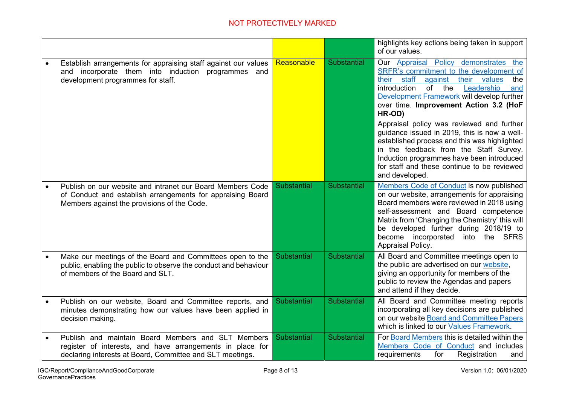|           |                                                                                                                                                                              |             |                    | highlights key actions being taken in support<br>of our values.                                                                                                                                                                                                                                                                       |
|-----------|------------------------------------------------------------------------------------------------------------------------------------------------------------------------------|-------------|--------------------|---------------------------------------------------------------------------------------------------------------------------------------------------------------------------------------------------------------------------------------------------------------------------------------------------------------------------------------|
|           | Establish arrangements for appraising staff against our values<br>and incorporate them into induction programmes and<br>development programmes for staff.                    | Reasonable  | <b>Substantial</b> | Our Appraisal Policy demonstrates the<br>SRFR's commitment to the development of<br>staff<br>their<br>against<br>their values<br>the<br>of the<br>introduction<br>Leadership<br>and<br>Development Framework will develop further<br>over time. Improvement Action 3.2 (HoF<br>HR-OD)                                                 |
|           |                                                                                                                                                                              |             |                    | Appraisal policy was reviewed and further<br>guidance issued in 2019, this is now a well-<br>established process and this was highlighted<br>in the feedback from the Staff Survey.<br>Induction programmes have been introduced<br>for staff and these continue to be reviewed<br>and developed.                                     |
| $\bullet$ | Publish on our website and intranet our Board Members Code<br>of Conduct and establish arrangements for appraising Board<br>Members against the provisions of the Code.      | Substantial | <b>Substantial</b> | Members Code of Conduct is now published<br>on our website, arrangements for appraising<br>Board members were reviewed in 2018 using<br>self-assessment and Board competence<br>Matrix from 'Changing the Chemistry' this will<br>be developed further during 2018/19 to<br>become incorporated<br>into the SFRS<br>Appraisal Policy. |
|           | Make our meetings of the Board and Committees open to the<br>public, enabling the public to observe the conduct and behaviour<br>of members of the Board and SLT.            | Substantial | <b>Substantial</b> | All Board and Committee meetings open to<br>the public are advertised on our website,<br>giving an opportunity for members of the<br>public to review the Agendas and papers<br>and attend if they decide.                                                                                                                            |
|           | Publish on our website, Board and Committee reports, and<br>minutes demonstrating how our values have been applied in<br>decision making.                                    | Substantial | <b>Substantial</b> | All Board and Committee meeting reports<br>incorporating all key decisions are published<br>on our website Board and Committee Papers<br>which is linked to our Values Framework.                                                                                                                                                     |
|           | Publish and maintain Board Members and SLT Members<br>register of interests, and have arrangements in place for<br>declaring interests at Board, Committee and SLT meetings. | Substantial | <b>Substantial</b> | For Board Members this is detailed within the<br>Members Code of Conduct and includes<br>requirements<br>for<br>Registration<br>and                                                                                                                                                                                                   |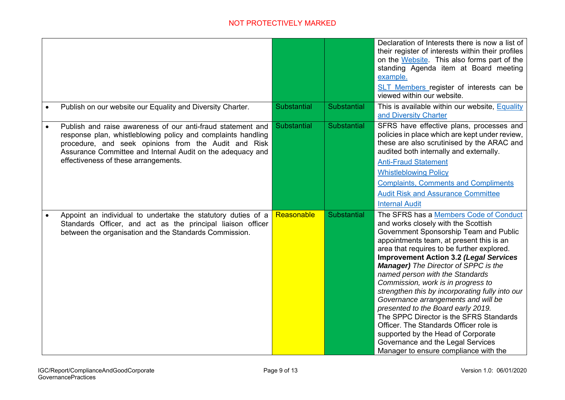|           |                                                                                                                                                                                                                                                                                           |             |                    | Declaration of Interests there is now a list of<br>their register of interests within their profiles<br>on the Website. This also forms part of the<br>standing Agenda item at Board meeting<br>example.<br>SLT Members register of interests can be<br>viewed within our website.                                                                                                                                                                                                                                                                                                                                                                                                                                                  |
|-----------|-------------------------------------------------------------------------------------------------------------------------------------------------------------------------------------------------------------------------------------------------------------------------------------------|-------------|--------------------|-------------------------------------------------------------------------------------------------------------------------------------------------------------------------------------------------------------------------------------------------------------------------------------------------------------------------------------------------------------------------------------------------------------------------------------------------------------------------------------------------------------------------------------------------------------------------------------------------------------------------------------------------------------------------------------------------------------------------------------|
| $\bullet$ | Publish on our website our Equality and Diversity Charter.                                                                                                                                                                                                                                | Substantial | <b>Substantial</b> | This is available within our website, <b>Equality</b><br>and Diversity Charter                                                                                                                                                                                                                                                                                                                                                                                                                                                                                                                                                                                                                                                      |
|           | Publish and raise awareness of our anti-fraud statement and<br>response plan, whistleblowing policy and complaints handling<br>procedure, and seek opinions from the Audit and Risk<br>Assurance Committee and Internal Audit on the adequacy and<br>effectiveness of these arrangements. | Substantial | Substantial        | SFRS have effective plans, processes and<br>policies in place which are kept under review,<br>these are also scrutinised by the ARAC and<br>audited both internally and externally.<br><b>Anti-Fraud Statement</b><br><b>Whistleblowing Policy</b><br><b>Complaints, Comments and Compliments</b><br><b>Audit Risk and Assurance Committee</b><br><b>Internal Audit</b>                                                                                                                                                                                                                                                                                                                                                             |
| $\bullet$ | Appoint an individual to undertake the statutory duties of a<br>Standards Officer, and act as the principal liaison officer<br>between the organisation and the Standards Commission.                                                                                                     | Reasonable  | <b>Substantial</b> | The SFRS has a Members Code of Conduct<br>and works closely with the Scottish<br>Government Sponsorship Team and Public<br>appointments team, at present this is an<br>area that requires to be further explored.<br><b>Improvement Action 3.2 (Legal Services</b><br><b>Manager)</b> The Director of SPPC is the<br>named person with the Standards<br>Commission, work is in progress to<br>strengthen this by incorporating fully into our<br>Governance arrangements and will be<br>presented to the Board early 2019.<br>The SPPC Director is the SFRS Standards<br>Officer. The Standards Officer role is<br>supported by the Head of Corporate<br>Governance and the Legal Services<br>Manager to ensure compliance with the |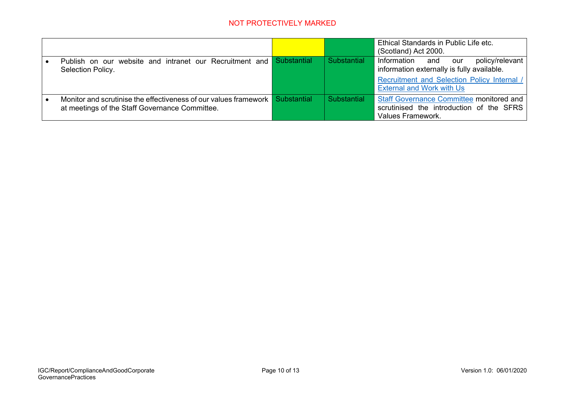|                                                                                                                      |             |             | Ethical Standards in Public Life etc.<br>(Scotland) Act 2000.                                                    |
|----------------------------------------------------------------------------------------------------------------------|-------------|-------------|------------------------------------------------------------------------------------------------------------------|
| Publish on our website and intranet our Recruitment and Substantial<br>Selection Policy.                             |             | Substantial | Information and our<br>policy/relevant<br>information externally is fully available.                             |
|                                                                                                                      |             |             | <b>Recruitment and Selection Policy Internal /</b><br><b>External and Work with Us</b>                           |
| Monitor and scrutinise the effectiveness of our values framework  <br>at meetings of the Staff Governance Committee. | Substantial | Substantial | <b>Staff Governance Committee monitored and</b><br>scrutinised the introduction of the SFRS<br>Values Framework. |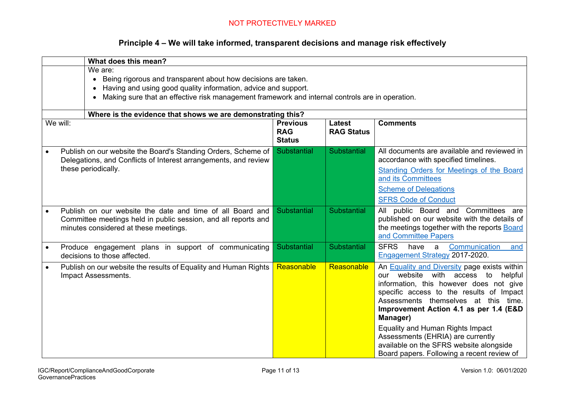### **Principle 4 – We will take informed, transparent decisions and manage risk effectively**

|           | What does this mean?                                                                                                                                                                                                                                                                 |                                                             |                             |                                                                                                                                                                                                                                                                                                                                                                                                                                                  |  |  |
|-----------|--------------------------------------------------------------------------------------------------------------------------------------------------------------------------------------------------------------------------------------------------------------------------------------|-------------------------------------------------------------|-----------------------------|--------------------------------------------------------------------------------------------------------------------------------------------------------------------------------------------------------------------------------------------------------------------------------------------------------------------------------------------------------------------------------------------------------------------------------------------------|--|--|
|           | We are:<br>Being rigorous and transparent about how decisions are taken.<br>$\bullet$<br>Having and using good quality information, advice and support.<br>$\bullet$<br>Making sure that an effective risk management framework and internal controls are in operation.<br>$\bullet$ |                                                             |                             |                                                                                                                                                                                                                                                                                                                                                                                                                                                  |  |  |
|           |                                                                                                                                                                                                                                                                                      | Where is the evidence that shows we are demonstrating this? |                             |                                                                                                                                                                                                                                                                                                                                                                                                                                                  |  |  |
| We will:  |                                                                                                                                                                                                                                                                                      | <b>Previous</b><br><b>RAG</b><br><b>Status</b>              | Latest<br><b>RAG Status</b> | <b>Comments</b>                                                                                                                                                                                                                                                                                                                                                                                                                                  |  |  |
| $\bullet$ | Publish on our website the Board's Standing Orders, Scheme of<br>Delegations, and Conflicts of Interest arrangements, and review<br>these periodically.                                                                                                                              | Substantial                                                 | <b>Substantial</b>          | All documents are available and reviewed in<br>accordance with specified timelines.<br>Standing Orders for Meetings of the Board<br>and its Committees<br><b>Scheme of Delegations</b><br><b>SFRS Code of Conduct</b>                                                                                                                                                                                                                            |  |  |
|           | Publish on our website the date and time of all Board and<br>Committee meetings held in public session, and all reports and<br>minutes considered at these meetings.                                                                                                                 | Substantial                                                 | <b>Substantial</b>          | All public Board and Committees are<br>published on our website with the details of<br>the meetings together with the reports Board<br>and Committee Papers                                                                                                                                                                                                                                                                                      |  |  |
|           | Produce engagement plans in support of communicating<br>decisions to those affected.                                                                                                                                                                                                 | Substantial                                                 | <b>Substantial</b>          | <b>SFRS</b><br>Communication<br>have<br>a<br>and<br>Engagement Strategy 2017-2020.                                                                                                                                                                                                                                                                                                                                                               |  |  |
| $\bullet$ | Publish on our website the results of Equality and Human Rights<br>Impact Assessments.                                                                                                                                                                                               | Reasonable                                                  | Reasonable                  | An Equality and Diversity page exists within<br>our website with<br>access to<br>helpful<br>information, this however does not give<br>specific access to the results of Impact<br>Assessments themselves at this time.<br>Improvement Action 4.1 as per 1.4 (E&D)<br>Manager)<br>Equality and Human Rights Impact<br>Assessments (EHRIA) are currently<br>available on the SFRS website alongside<br>Board papers. Following a recent review of |  |  |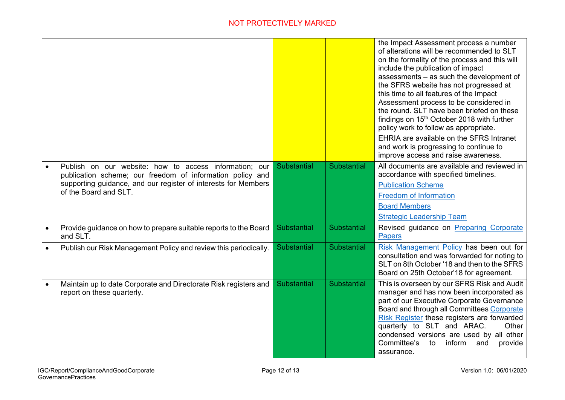|           |                                                                                                                                                                                                                |                    |                    | the Impact Assessment process a number<br>of alterations will be recommended to SLT<br>on the formality of the process and this will<br>include the publication of impact<br>assessments - as such the development of<br>the SFRS website has not progressed at<br>this time to all features of the Impact<br>Assessment process to be considered in<br>the round. SLT have been briefed on these<br>findings on 15 <sup>th</sup> October 2018 with further<br>policy work to follow as appropriate.<br>EHRIA are available on the SFRS Intranet<br>and work is progressing to continue to<br>improve access and raise awareness. |
|-----------|----------------------------------------------------------------------------------------------------------------------------------------------------------------------------------------------------------------|--------------------|--------------------|-----------------------------------------------------------------------------------------------------------------------------------------------------------------------------------------------------------------------------------------------------------------------------------------------------------------------------------------------------------------------------------------------------------------------------------------------------------------------------------------------------------------------------------------------------------------------------------------------------------------------------------|
|           | Publish on our website: how to access information; our<br>publication scheme; our freedom of information policy and<br>supporting guidance, and our register of interests for Members<br>of the Board and SLT. | Substantial        | Substantial        | All documents are available and reviewed in<br>accordance with specified timelines.<br><b>Publication Scheme</b><br><b>Freedom of Information</b><br><b>Board Members</b><br><b>Strategic Leadership Team</b>                                                                                                                                                                                                                                                                                                                                                                                                                     |
|           | Provide guidance on how to prepare suitable reports to the Board<br>and SLT.                                                                                                                                   | <b>Substantial</b> | <b>Substantial</b> | Revised guidance on Preparing Corporate<br><b>Papers</b>                                                                                                                                                                                                                                                                                                                                                                                                                                                                                                                                                                          |
|           | Publish our Risk Management Policy and review this periodically.                                                                                                                                               | <b>Substantial</b> | <b>Substantial</b> | Risk Management Policy has been out for<br>consultation and was forwarded for noting to<br>SLT on 8th October '18 and then to the SFRS<br>Board on 25th October'18 for agreement.                                                                                                                                                                                                                                                                                                                                                                                                                                                 |
| $\bullet$ | Maintain up to date Corporate and Directorate Risk registers and<br>report on these quarterly.                                                                                                                 | Substantial        | Substantial        | This is overseen by our SFRS Risk and Audit<br>manager and has now been incorporated as<br>part of our Executive Corporate Governance<br>Board and through all Committees Corporate<br>Risk Register these registers are forwarded<br>quarterly to SLT and ARAC.<br>Other<br>condensed versions are used by all other<br>Committee's<br>inform<br>to<br>provide<br>and<br>assurance.                                                                                                                                                                                                                                              |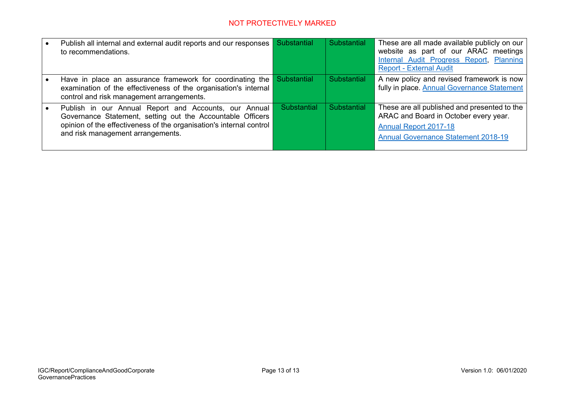| Publish all internal and external audit reports and our responses<br>to recommendations.                                                                                                                                        | <b>Substantial</b> | <b>Substantial</b> | These are all made available publicly on our<br>website as part of our ARAC meetings<br>Internal Audit Progress Report, Planning<br><b>Report - External Audit</b>  |
|---------------------------------------------------------------------------------------------------------------------------------------------------------------------------------------------------------------------------------|--------------------|--------------------|---------------------------------------------------------------------------------------------------------------------------------------------------------------------|
| Have in place an assurance framework for coordinating the<br>examination of the effectiveness of the organisation's internal<br>control and risk management arrangements.                                                       | Substantial        | Substantial        | A new policy and revised framework is now<br>fully in place. Annual Governance Statement                                                                            |
| Publish in our Annual Report and Accounts, our Annual<br>Governance Statement, setting out the Accountable Officers<br>opinion of the effectiveness of the organisation's internal control<br>and risk management arrangements. | Substantial        | Substantial        | These are all published and presented to the<br>ARAC and Board in October every year.<br><b>Annual Report 2017-18</b><br><b>Annual Governance Statement 2018-19</b> |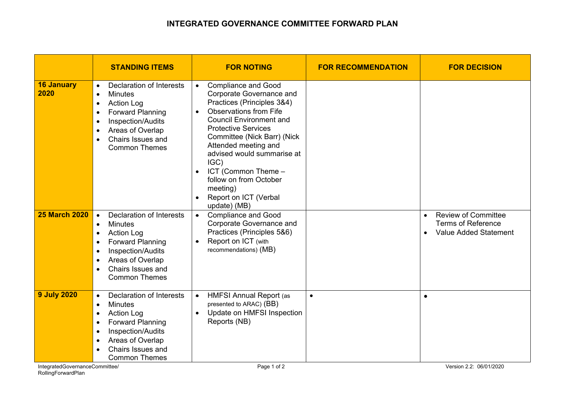### **INTEGRATED GOVERNANCE COMMITTEE FORWARD PLAN**

|                           | <b>STANDING ITEMS</b>                                                                                                                                                                                                                                                 | <b>FOR NOTING</b>                                                                                                                                                                                                                                                                                                                                                                                                                            | <b>FOR RECOMMENDATION</b> | <b>FOR DECISION</b>                                                                                        |
|---------------------------|-----------------------------------------------------------------------------------------------------------------------------------------------------------------------------------------------------------------------------------------------------------------------|----------------------------------------------------------------------------------------------------------------------------------------------------------------------------------------------------------------------------------------------------------------------------------------------------------------------------------------------------------------------------------------------------------------------------------------------|---------------------------|------------------------------------------------------------------------------------------------------------|
| <b>16 January</b><br>2020 | Declaration of Interests<br>$\bullet$<br>Minutes<br>$\bullet$<br><b>Action Log</b><br>$\bullet$<br><b>Forward Planning</b><br>$\bullet$<br>Inspection/Audits<br>$\bullet$<br>Areas of Overlap<br>$\bullet$<br>Chairs Issues and<br>$\bullet$<br><b>Common Themes</b>  | <b>Compliance and Good</b><br>$\bullet$<br>Corporate Governance and<br>Practices (Principles 3&4)<br><b>Observations from Fife</b><br>$\bullet$<br><b>Council Environment and</b><br><b>Protective Services</b><br>Committee (Nick Barr) (Nick<br>Attended meeting and<br>advised would summarise at<br>IGC)<br>ICT (Common Theme -<br>$\bullet$<br>follow on from October<br>meeting)<br>Report on ICT (Verbal<br>$\bullet$<br>update) (MB) |                           |                                                                                                            |
| <b>25 March 2020</b>      | <b>Declaration of Interests</b><br><b>Minutes</b><br>$\bullet$<br><b>Action Log</b><br>$\bullet$<br><b>Forward Planning</b><br>$\bullet$<br>Inspection/Audits<br>$\bullet$<br>Areas of Overlap<br>$\bullet$<br>Chairs Issues and<br><b>Common Themes</b>              | <b>Compliance and Good</b><br>$\bullet$<br>Corporate Governance and<br>Practices (Principles 5&6)<br>Report on ICT (with<br>$\bullet$<br>recommendations) (MB)                                                                                                                                                                                                                                                                               |                           | <b>Review of Committee</b><br>$\bullet$<br><b>Terms of Reference</b><br>Value Added Statement<br>$\bullet$ |
| <b>9 July 2020</b>        | <b>Declaration of Interests</b><br>$\bullet$<br><b>Minutes</b><br>$\bullet$<br><b>Action Log</b><br>$\bullet$<br><b>Forward Planning</b><br>$\bullet$<br>Inspection/Audits<br>$\bullet$<br>Areas of Overlap<br>$\bullet$<br>Chairs Issues and<br><b>Common Themes</b> | <b>HMFSI Annual Report (as</b><br>$\bullet$<br>presented to ARAC) (BB)<br>Update on HMFSI Inspection<br>$\bullet$<br>Reports (NB)                                                                                                                                                                                                                                                                                                            | $\bullet$                 | $\bullet$                                                                                                  |